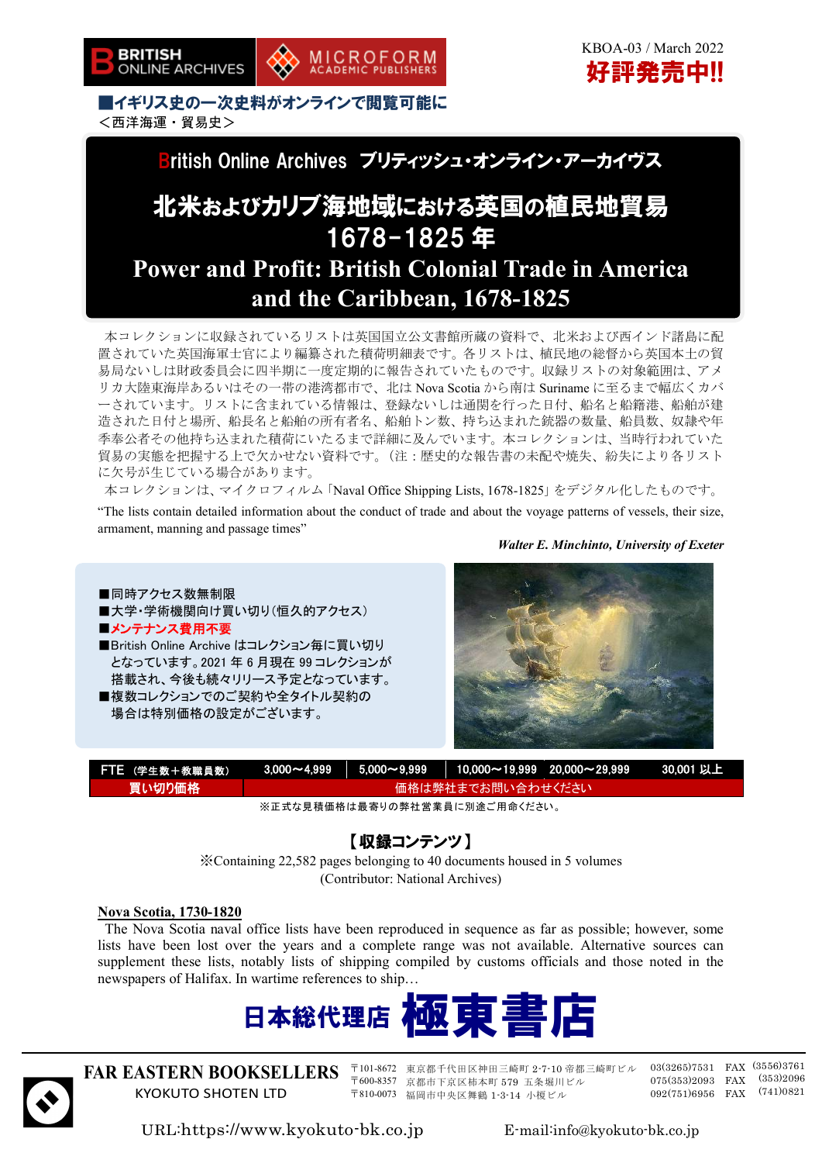■イギリス史の一次史料がオンラインで閲覧可能に <西洋海運・貿易史>

### British Online Archives ブリティッシュ・オンライン・アーカイヴス

MICROFORM

ACADEMIC PUBLISHERS

# 北米およびカリブ海地域における英国の植民地貿易 1678-1825 年 **Power and Profit: British Colonial Trade in America and the Caribbean, 1678-1825**

本コレクションに収録されているリストは英国国立公文書館所蔵の資料で、北米および西インド諸島に配 置されていた英国海軍士官により編纂された積荷明細表です。各リストは、植民地の総督から英国本土の貿 易局ないしは財政委員会に四半期に一度定期的に報告されていたものです。収録リストの対象範囲は、アメ リカ大陸東海岸あるいはその一帯の港湾都市で、北は Nova Scotia から南は Suriname に至るまで幅広くカバ ーされています。リストに含まれている情報は、登録ないしは通関を行った日付、船名と船籍港、船舶が建 造された日付と場所、船長名と船舶の所有者名、船舶トン数、持ち込まれた銃器の数量、船員数、奴隷や年 季奉公者その他持ち込まれた積荷にいたるまで詳細に及んでいます。本コレクションは、当時行われていた 貿易の実態を把握する上で欠かせない資料です。(注:歴史的な報告書の未配や焼失、紛失により各リスト に欠号が生じている場合があります。

本コレクションは、マイクロフィルム「Naval Office Shipping Lists, 1678-1825」をデジタル化したものです。

"The lists contain detailed information about the conduct of trade and about the voyage patterns of vessels, their size, armament, manning and passage times"

*Walter E. Minchinto, University of Exeter*



| 「FTE(学生数+教職員数)」               | $\frac{3{,}000\textcolor{red}{\sim}4{,}999}{,} \frac{5{,}000\textcolor{red}{\sim}9{,}999}{,} \frac{10{,}000\textcolor{red}{\sim}19{,}999}{,} \frac{20{,}000\textcolor{red}{\sim}29{,}999}{,}$ |  |  |  | 30.001 以上 |  |
|-------------------------------|-----------------------------------------------------------------------------------------------------------------------------------------------------------------------------------------------|--|--|--|-----------|--|
| 買い切り価格                        | ▼価格は弊社までお問い合わせください                                                                                                                                                                            |  |  |  |           |  |
| ※正式な見積価格は最寄りの弊社営業員に別途ご用命ください。 |                                                                                                                                                                                               |  |  |  |           |  |

### 【収録コンテンツ】

※Containing 22,582 pages belonging to 40 documents housed in 5 volumes (Contributor: National Archives)

#### **Nova Scotia, 1730-1820**

The Nova Scotia naval office lists have been reproduced in sequence as far as possible; however, some lists have been lost over the years and a complete range was not available. Alternative sources can supplement these lists, notably lists of shipping compiled by customs officials and those noted in the newspapers of Halifax. In wartime references to ship…





**FAR EASTERN BOOKSELLERS** KYOKUTO SHOTEN LTD

〒101-8672 東京都千代田区神田三崎町 2-7-10 帝都三崎町ビル 〒600-8357 京都市下京区柿本町 579 五条堀川ビル 〒810-0073 福岡市中央区舞鶴 1-3-14 小榎ビル

03(3265)7531 FAX (3556)3761 075(353)2093 FAX (353)2096 092(751)6956 FAX (741)0821

URL:https://www.kyokuto-bk.co.jp E-mail:info@kyokuto-bk.co.jp